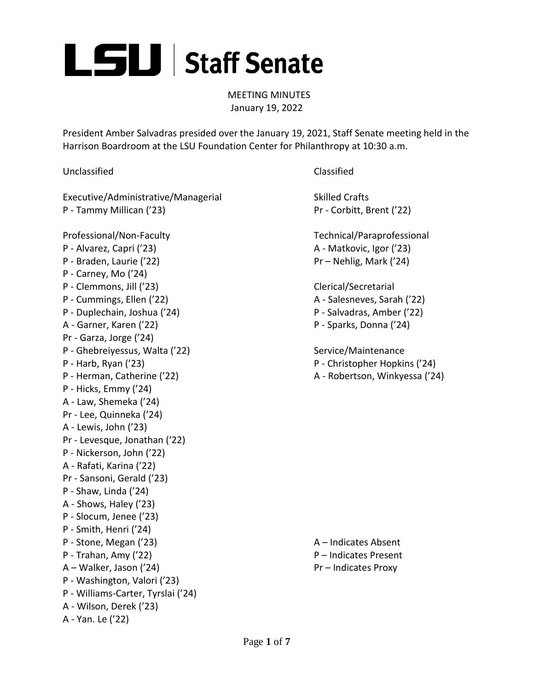

MEETING MINUTES January 19, 2022

President Amber Salvadras presided over the January 19, 2021, Staff Senate meeting held in the Harrison Boardroom at the LSU Foundation Center for Philanthropy at 10:30 a.m.

Unclassified Classified

Executive/Administrative/Managerial Skilled Crafts P - Tammy Millican ('23) P - Tammy Millican ('23)

Professional/Non-Faculty Technical/Paraprofessional P - Alvarez, Capri ('23) A - Matkovic, Igor ('23) P - Braden, Laurie ('22) Pr – Nehlig, Mark ('24) P - Carney, Mo ('24) P - Clemmons, Jill ('23) Clerical/Secretarial P - Cummings, Ellen ('22) A - Salesneves, Sarah ('22) P - Duplechain, Joshua ('24) P - Salvadras, Amber ('22) A - Garner, Karen ('22) P - Sparks, Donna ('24) Pr - Garza, Jorge ('24) P - Ghebreiyessus, Walta ('22) Service/Maintenance P - Harb, Ryan ('23) P - Christopher Hopkins ('24) P - Herman, Catherine ('22) A - Robertson, Winkyessa ('24) P - Hicks, Emmy ('24) A - Law, Shemeka ('24) Pr - Lee, Quinneka ('24) A - Lewis, John ('23) Pr - Levesque, Jonathan ('22) P - Nickerson, John ('22) A - Rafati, Karina ('22) Pr - Sansoni, Gerald ('23) P - Shaw, Linda ('24) A - Shows, Haley ('23) P - Slocum, Jenee ('23) P - Smith, Henri ('24) P - Stone, Megan ('23) A – Indicates Absent P - Trahan, Amy ('22) P – Indicates Present A – Walker, Jason ('24) Pr – Indicates Proxy P - Washington, Valori ('23) P - Williams-Carter, Tyrslai ('24) A - Wilson, Derek ('23) A - Yan. Le ('22)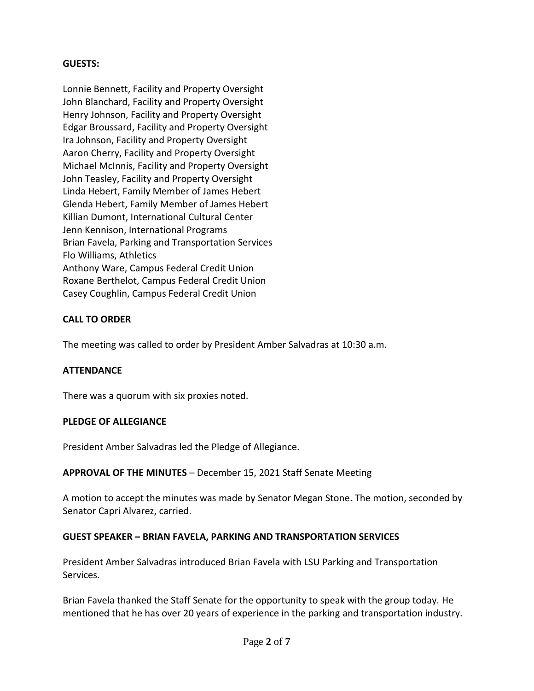#### **GUESTS:**

Lonnie Bennett, Facility and Property Oversight John Blanchard, Facility and Property Oversight Henry Johnson, Facility and Property Oversight Edgar Broussard, Facility and Property Oversight Ira Johnson, Facility and Property Oversight Aaron Cherry, Facility and Property Oversight Michael McInnis, Facility and Property Oversight John Teasley, Facility and Property Oversight Linda Hebert, Family Member of James Hebert Glenda Hebert, Family Member of James Hebert Killian Dumont, International Cultural Center Jenn Kennison, International Programs Brian Favela, Parking and Transportation Services Flo Williams, Athletics Anthony Ware, Campus Federal Credit Union Roxane Berthelot, Campus Federal Credit Union Casey Coughlin, Campus Federal Credit Union

#### **CALL TO ORDER**

The meeting was called to order by President Amber Salvadras at 10:30 a.m.

#### **ATTENDANCE**

There was a quorum with six proxies noted.

#### **PLEDGE OF ALLEGIANCE**

President Amber Salvadras led the Pledge of Allegiance.

#### **APPROVAL OF THE MINUTES** – December 15, 2021 Staff Senate Meeting

A motion to accept the minutes was made by Senator Megan Stone. The motion, seconded by Senator Capri Alvarez, carried.

#### **GUEST SPEAKER – BRIAN FAVELA, PARKING AND TRANSPORTATION SERVICES**

President Amber Salvadras introduced Brian Favela with LSU Parking and Transportation Services.

Brian Favela thanked the Staff Senate for the opportunity to speak with the group today. He mentioned that he has over 20 years of experience in the parking and transportation industry.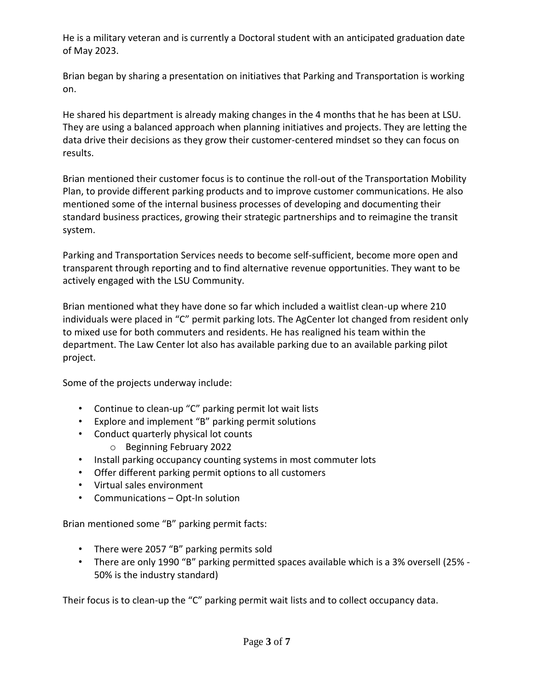He is a military veteran and is currently a Doctoral student with an anticipated graduation date of May 2023.

Brian began by sharing a presentation on initiatives that Parking and Transportation is working on.

He shared his department is already making changes in the 4 months that he has been at LSU. They are using a balanced approach when planning initiatives and projects. They are letting the data drive their decisions as they grow their customer-centered mindset so they can focus on results.

Brian mentioned their customer focus is to continue the roll-out of the Transportation Mobility Plan, to provide different parking products and to improve customer communications. He also mentioned some of the internal business processes of developing and documenting their standard business practices, growing their strategic partnerships and to reimagine the transit system.

Parking and Transportation Services needs to become self-sufficient, become more open and transparent through reporting and to find alternative revenue opportunities. They want to be actively engaged with the LSU Community.

Brian mentioned what they have done so far which included a waitlist clean-up where 210 individuals were placed in "C" permit parking lots. The AgCenter lot changed from resident only to mixed use for both commuters and residents. He has realigned his team within the department. The Law Center lot also has available parking due to an available parking pilot project.

Some of the projects underway include:

- Continue to clean-up "C" parking permit lot wait lists
- Explore and implement "B" parking permit solutions
- Conduct quarterly physical lot counts
	- o Beginning February 2022
- Install parking occupancy counting systems in most commuter lots
- Offer different parking permit options to all customers
- Virtual sales environment
- Communications Opt-In solution

Brian mentioned some "B" parking permit facts:

- There were 2057 "B" parking permits sold
- There are only 1990 "B" parking permitted spaces available which is a 3% oversell (25% 50% is the industry standard)

Their focus is to clean-up the "C" parking permit wait lists and to collect occupancy data.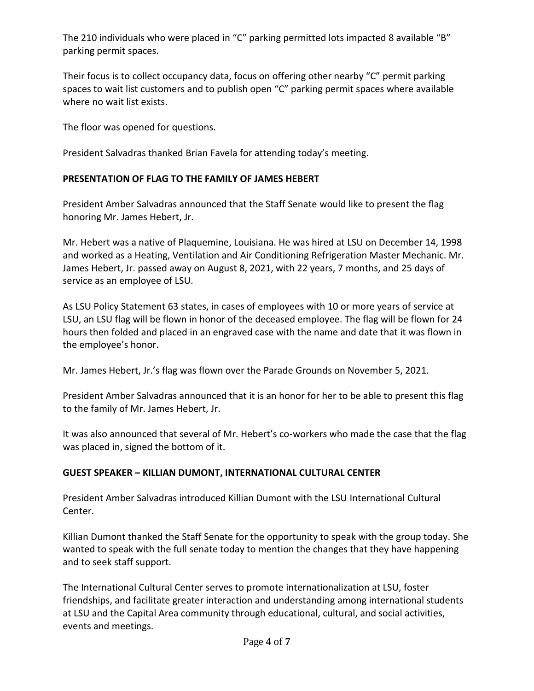The 210 individuals who were placed in "C" parking permitted lots impacted 8 available "B" parking permit spaces.

Their focus is to collect occupancy data, focus on offering other nearby "C" permit parking spaces to wait list customers and to publish open "C" parking permit spaces where available where no wait list exists.

The floor was opened for questions.

President Salvadras thanked Brian Favela for attending today's meeting.

# **PRESENTATION OF FLAG TO THE FAMILY OF JAMES HEBERT**

President Amber Salvadras announced that the Staff Senate would like to present the flag honoring Mr. James Hebert, Jr.

Mr. Hebert was a native of Plaquemine, Louisiana. He was hired at LSU on December 14, 1998 and worked as a Heating, Ventilation and Air Conditioning Refrigeration Master Mechanic. Mr. James Hebert, Jr. passed away on August 8, 2021, with 22 years, 7 months, and 25 days of service as an employee of LSU.

As LSU Policy Statement 63 states, in cases of employees with 10 or more years of service at LSU, an LSU flag will be flown in honor of the deceased employee. The flag will be flown for 24 hours then folded and placed in an engraved case with the name and date that it was flown in the employee's honor.

Mr. James Hebert, Jr.'s flag was flown over the Parade Grounds on November 5, 2021.

President Amber Salvadras announced that it is an honor for her to be able to present this flag to the family of Mr. James Hebert, Jr.

It was also announced that several of Mr. Hebert's co-workers who made the case that the flag was placed in, signed the bottom of it.

# **GUEST SPEAKER – KILLIAN DUMONT, INTERNATIONAL CULTURAL CENTER**

President Amber Salvadras introduced Killian Dumont with the LSU International Cultural Center.

Killian Dumont thanked the Staff Senate for the opportunity to speak with the group today. She wanted to speak with the full senate today to mention the changes that they have happening and to seek staff support.

The International Cultural Center serves to promote internationalization at LSU, foster friendships, and facilitate greater interaction and understanding among international students at LSU and the Capital Area community through educational, cultural, and social activities, events and meetings.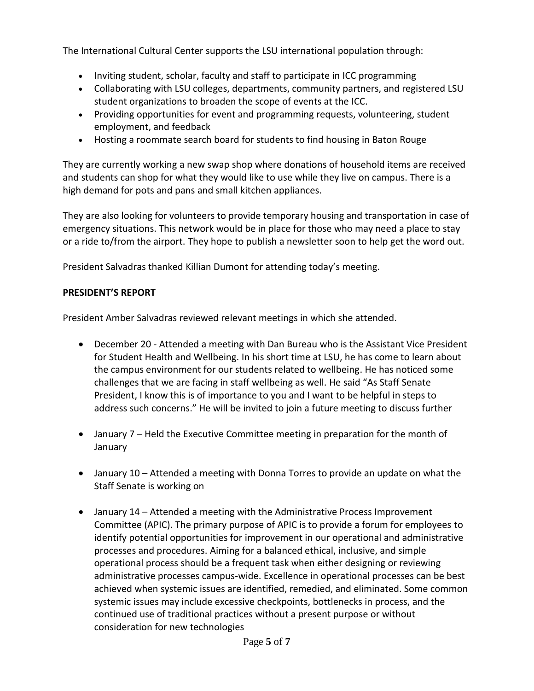The International Cultural Center supports the LSU international population through:

- Inviting student, scholar, faculty and staff to participate in ICC programming
- Collaborating with LSU colleges, departments, community partners, and registered LSU student organizations to broaden the scope of events at the ICC.
- Providing opportunities for event and programming requests, volunteering, student employment, and feedback
- Hosting a [roommate search board](https://www.lsu.edu/intlpro/icc/roommate.php) for students to find housing in Baton Rouge

They are currently working a new swap shop where donations of household items are received and students can shop for what they would like to use while they live on campus. There is a high demand for pots and pans and small kitchen appliances.

They are also looking for volunteers to provide temporary housing and transportation in case of emergency situations. This network would be in place for those who may need a place to stay or a ride to/from the airport. They hope to publish a newsletter soon to help get the word out.

President Salvadras thanked Killian Dumont for attending today's meeting.

# **PRESIDENT'S REPORT**

President Amber Salvadras reviewed relevant meetings in which she attended.

- December 20 Attended a meeting with Dan Bureau who is the Assistant Vice President for Student Health and Wellbeing. In his short time at LSU, he has come to learn about the campus environment for our students related to wellbeing. He has noticed some challenges that we are facing in staff wellbeing as well. He said "As Staff Senate President, I know this is of importance to you and I want to be helpful in steps to address such concerns." He will be invited to join a future meeting to discuss further
- January 7 Held the Executive Committee meeting in preparation for the month of January
- January 10 Attended a meeting with Donna Torres to provide an update on what the Staff Senate is working on
- January 14 Attended a meeting with the Administrative Process Improvement Committee (APIC). The primary purpose of APIC is to provide a forum for employees to identify potential opportunities for improvement in our operational and administrative processes and procedures. Aiming for a balanced ethical, inclusive, and simple operational process should be a frequent task when either designing or reviewing administrative processes campus-wide. Excellence in operational processes can be best achieved when systemic issues are identified, remedied, and eliminated. Some common systemic issues may include excessive checkpoints, bottlenecks in process, and the continued use of traditional practices without a present purpose or without consideration for new technologies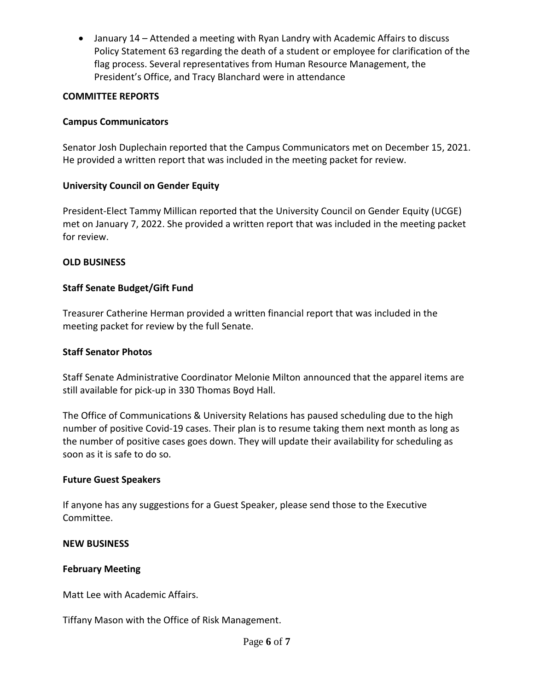January 14 – Attended a meeting with Ryan Landry with Academic Affairs to discuss Policy Statement 63 regarding the death of a student or employee for clarification of the flag process. Several representatives from Human Resource Management, the President's Office, and Tracy Blanchard were in attendance

## **COMMITTEE REPORTS**

# **Campus Communicators**

Senator Josh Duplechain reported that the Campus Communicators met on December 15, 2021. He provided a written report that was included in the meeting packet for review.

## **University Council on Gender Equity**

President-Elect Tammy Millican reported that the University Council on Gender Equity (UCGE) met on January 7, 2022. She provided a written report that was included in the meeting packet for review.

## **OLD BUSINESS**

# **Staff Senate Budget/Gift Fund**

Treasurer Catherine Herman provided a written financial report that was included in the meeting packet for review by the full Senate.

## **Staff Senator Photos**

Staff Senate Administrative Coordinator Melonie Milton announced that the apparel items are still available for pick-up in 330 Thomas Boyd Hall.

The Office of Communications & University Relations has paused scheduling due to the high number of positive Covid-19 cases. Their plan is to resume taking them next month as long as the number of positive cases goes down. They will update their availability for scheduling as soon as it is safe to do so.

## **Future Guest Speakers**

If anyone has any suggestions for a Guest Speaker, please send those to the Executive Committee.

## **NEW BUSINESS**

## **February Meeting**

Matt Lee with Academic Affairs.

Tiffany Mason with the Office of Risk Management.